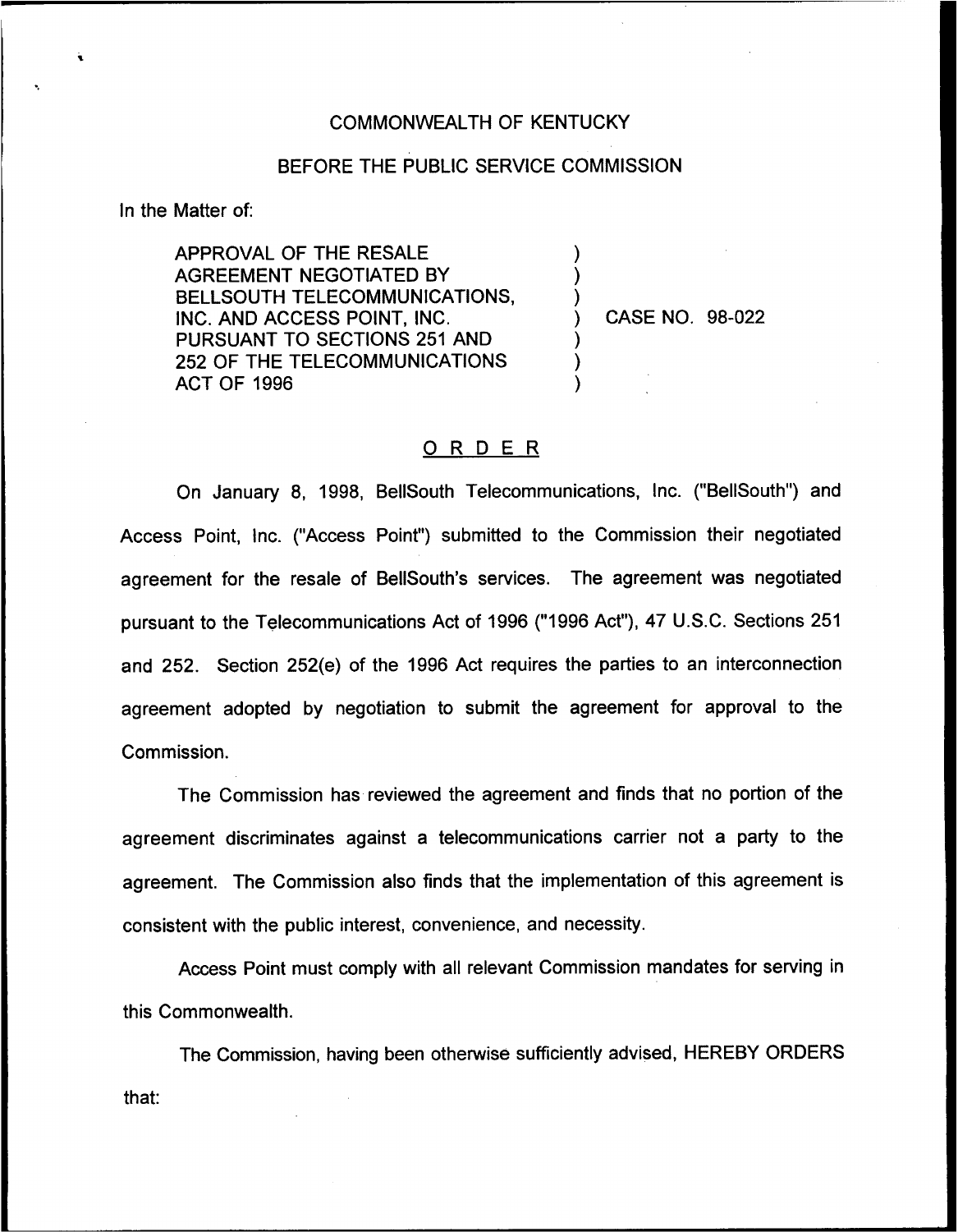#### COMMONWEALTH OF KENTUCKY

#### BEFORE THE PUBLIC SERVICE COMMISSION

) ) )

) ) )

In the Matter of:

APPROVAL OF THE RESALE AGREEMENT NEGOTIATED BY BELL SOUTH TELECOMMUNICATIONS, INC. AND ACCESS POINT, INC. PURSUANT TO SECTIONS 251 AND 252 OF THE TELECOMMUNICATIONS ACT OF 1996

) CASE NO, 98-022

## ORDER

On January 8, 1998, BellSouth Telecommunications, Inc. ("BellSouth") and Access Point, Inc. ("Access Point") submitted to the Commission their negotiate agreement for the resale of BellSouth's services. The agreement was negotiated pursuant to the Telecommunications Act of 1996 ("1996 Act"), 47 U.S.C. Sections 251 and 252. Section 252(e) of the 1996 Act requires the parties to an interconnection agreement adopted by negotiation to submit the agreement for approval to the Commission.

The Commission has reviewed the agreement and finds that no portion of the agreement discriminates against a telecommunications carrier not a party to the agreement. The Commission also finds that the implementation of this agreement is consistent with the public interest, convenience, and necessity.

Access Point must comply with all relevant Commission mandates for serving in this Commonwealth.

The Commission, having been otherwise sufficiently advised, HEREBY ORDERSthat: